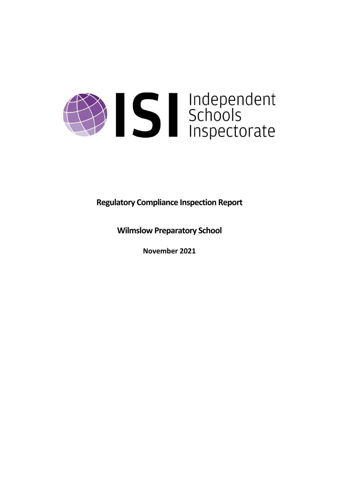

**Regulatory Compliance Inspection Report**

**Wilmslow Preparatory School**

**November 2021**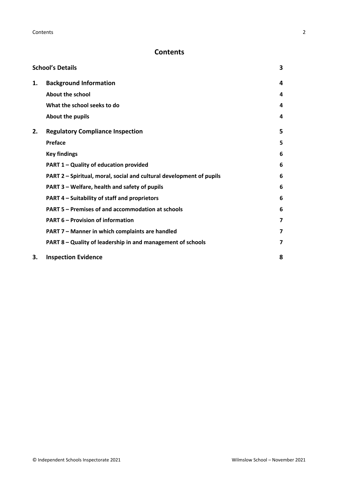# **Contents**

| <b>School's Details</b> |                                                                      |   |
|-------------------------|----------------------------------------------------------------------|---|
| 1.                      | <b>Background Information</b>                                        | 4 |
|                         | <b>About the school</b>                                              | 4 |
|                         | What the school seeks to do                                          | 4 |
|                         | About the pupils                                                     | 4 |
| 2.                      | <b>Regulatory Compliance Inspection</b>                              | 5 |
|                         | <b>Preface</b>                                                       | 5 |
|                         | <b>Key findings</b>                                                  | 6 |
|                         | PART 1 - Quality of education provided                               | 6 |
|                         | PART 2 - Spiritual, moral, social and cultural development of pupils | 6 |
|                         | PART 3 - Welfare, health and safety of pupils                        | 6 |
|                         | PART 4 - Suitability of staff and proprietors                        | 6 |
|                         | PART 5 - Premises of and accommodation at schools                    | 6 |
|                         | <b>PART 6 - Provision of information</b>                             | 7 |
|                         | PART 7 - Manner in which complaints are handled                      | 7 |
|                         | PART 8 - Quality of leadership in and management of schools          | 7 |
| 3.                      | <b>Inspection Evidence</b>                                           | 8 |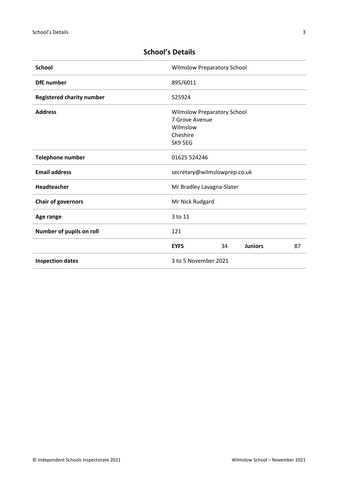| <b>School</b>                    | <b>Wilmslow Preparatory School</b>                                                      |
|----------------------------------|-----------------------------------------------------------------------------------------|
| <b>DfE</b> number                | 895/6011                                                                                |
| <b>Registered charity number</b> | 525924                                                                                  |
| <b>Address</b>                   | <b>Wilmslow Preparatory School</b><br>7 Grove Avenue<br>Wilmslow<br>Cheshire<br>SK9 5EG |
| Telephone number                 | 01625 524246                                                                            |
| <b>Email address</b>             | secretary@wilmslowprep.co.uk                                                            |
| Headteacher                      | Mr Bradley Lavagna-Slater                                                               |
| <b>Chair of governors</b>        | Mr Nick Rudgard                                                                         |
| Age range                        | 3 to 11                                                                                 |
| Number of pupils on roll         | 121                                                                                     |
|                                  | <b>EYFS</b><br><b>Juniors</b><br>87<br>34                                               |
| <b>Inspection dates</b>          | 3 to 5 November 2021                                                                    |

# <span id="page-2-0"></span>**School's Details**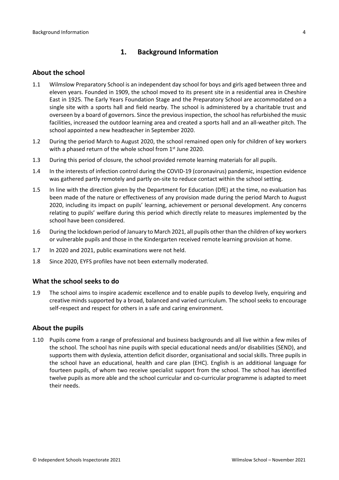# <span id="page-3-0"></span>**1. Background Information**

### <span id="page-3-1"></span>**About the school**

- 1.1 Wilmslow Preparatory School is an independent day school for boys and girls aged between three and eleven years. Founded in 1909, the school moved to its present site in a residential area in Cheshire East in 1925. The Early Years Foundation Stage and the Preparatory School are accommodated on a single site with a sports hall and field nearby. The school is administered by a charitable trust and overseen by a board of governors. Since the previous inspection, the school has refurbished the music facilities, increased the outdoor learning area and created a sports hall and an all-weather pitch. The school appointed a new headteacher in September 2020.
- 1.2 During the period March to August 2020, the school remained open only for children of key workers with a phased return of the whole school from 1<sup>st</sup> June 2020.
- 1.3 During this period of closure, the school provided remote learning materials for all pupils.
- 1.4 In the interests of infection control during the COVID-19 (coronavirus) pandemic, inspection evidence was gathered partly remotely and partly on-site to reduce contact within the school setting.
- 1.5 In line with the direction given by the Department for Education (DfE) at the time, no evaluation has been made of the nature or effectiveness of any provision made during the period March to August 2020, including its impact on pupils' learning, achievement or personal development. Any concerns relating to pupils' welfare during this period which directly relate to measures implemented by the school have been considered.
- 1.6 During the lockdown period of January to March 2021, all pupils other than the children of key workers or vulnerable pupils and those in the Kindergarten received remote learning provision at home.
- 1.7 In 2020 and 2021, public examinations were not held.
- 1.8 Since 2020, EYFS profiles have not been externally moderated.

#### <span id="page-3-2"></span>**What the school seeks to do**

1.9 The school aims to inspire academic excellence and to enable pupils to develop lively, enquiring and creative minds supported by a broad, balanced and varied curriculum. The school seeks to encourage self-respect and respect for others in a safe and caring environment.

## <span id="page-3-3"></span>**About the pupils**

1.10 Pupils come from a range of professional and business backgrounds and all live within a few miles of the school. The school has nine pupils with special educational needs and/or disabilities (SEND), and supports them with dyslexia, attention deficit disorder, organisational and social skills. Three pupils in the school have an educational, health and care plan (EHC). English is an additional language for fourteen pupils, of whom two receive specialist support from the school. The school has identified twelve pupils as more able and the school curricular and co-curricular programme is adapted to meet their needs.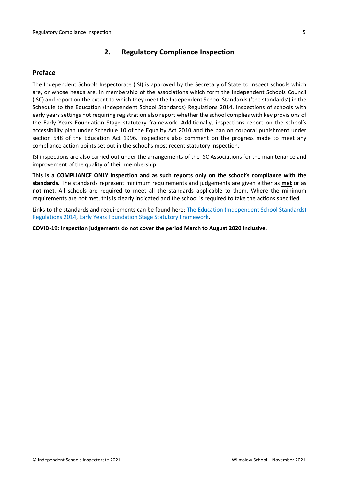# <span id="page-4-0"></span>**2. Regulatory Compliance Inspection**

## <span id="page-4-1"></span>**Preface**

The Independent Schools Inspectorate (ISI) is approved by the Secretary of State to inspect schools which are, or whose heads are, in membership of the associations which form the Independent Schools Council (ISC) and report on the extent to which they meet the Independent School Standards ('the standards') in the Schedule to the Education (Independent School Standards) Regulations 2014. Inspections of schools with early years settings not requiring registration also report whether the school complies with key provisions of the Early Years Foundation Stage statutory framework. Additionally, inspections report on the school's accessibility plan under Schedule 10 of the Equality Act 2010 and the ban on corporal punishment under section 548 of the Education Act 1996. Inspections also comment on the progress made to meet any compliance action points set out in the school's most recent statutory inspection.

ISI inspections are also carried out under the arrangements of the ISC Associations for the maintenance and improvement of the quality of their membership.

**This is a COMPLIANCE ONLY inspection and as such reports only on the school's compliance with the standards.** The standards represent minimum requirements and judgements are given either as **met** or as **not met**. All schools are required to meet all the standards applicable to them. Where the minimum requirements are not met, this is clearly indicated and the school is required to take the actions specified.

Links to the standards and requirements can be found here: The Education [\(Independent](http://www.legislation.gov.uk/uksi/2014/3283/contents/made) School Standards) [Regulations](http://www.legislation.gov.uk/uksi/2014/3283/contents/made) 2014, Early Years Foundation Stage Statutory [Framework.](https://www.gov.uk/government/publications/early-years-foundation-stage-framework--2)

**COVID-19: Inspection judgements do not cover the period March to August 2020 inclusive.**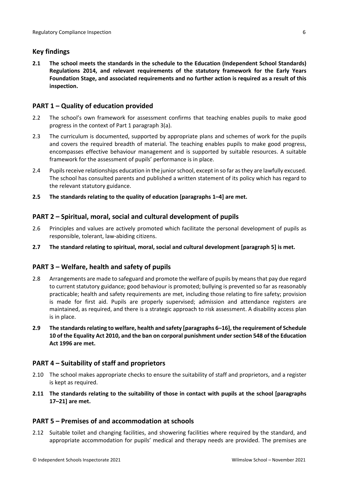# <span id="page-5-0"></span>**Key findings**

**2.1 The school meets the standards in the schedule to the Education (Independent School Standards) Regulations 2014, and relevant requirements of the statutory framework for the Early Years Foundation Stage, and associated requirements and no further action is required as a result of this inspection.**

# <span id="page-5-1"></span>**PART 1 – Quality of education provided**

- 2.2 The school's own framework for assessment confirms that teaching enables pupils to make good progress in the context of Part 1 paragraph 3(a).
- 2.3 The curriculum is documented, supported by appropriate plans and schemes of work for the pupils and covers the required breadth of material. The teaching enables pupils to make good progress, encompasses effective behaviour management and is supported by suitable resources. A suitable framework for the assessment of pupils' performance is in place.
- 2.4 Pupils receive relationships education in the junior school, except in so far as they are lawfully excused. The school has consulted parents and published a written statement of its policy which has regard to the relevant statutory guidance.
- **2.5 The standards relating to the quality of education [paragraphs 1–4] are met.**

## <span id="page-5-2"></span>**PART 2 – Spiritual, moral, social and cultural development of pupils**

- 2.6 Principles and values are actively promoted which facilitate the personal development of pupils as responsible, tolerant, law-abiding citizens.
- **2.7 The standard relating to spiritual, moral, social and cultural development [paragraph 5] is met.**

## <span id="page-5-3"></span>**PART 3 – Welfare, health and safety of pupils**

- 2.8 Arrangements are made to safeguard and promote the welfare of pupils by means that pay due regard to current statutory guidance; good behaviour is promoted; bullying is prevented so far as reasonably practicable; health and safety requirements are met, including those relating to fire safety; provision is made for first aid. Pupils are properly supervised; admission and attendance registers are maintained, as required, and there is a strategic approach to risk assessment. A disability access plan is in place.
- **2.9 The standardsrelating to welfare, health and safety [paragraphs 6–16], the requirement of Schedule 10 of the Equality Act 2010, and the ban on corporal punishment undersection 548 of the Education Act 1996 are met.**

## <span id="page-5-4"></span>**PART 4 – Suitability of staff and proprietors**

- 2.10 The school makes appropriate checks to ensure the suitability of staff and proprietors, and a register is kept as required.
- **2.11 The standards relating to the suitability of those in contact with pupils at the school [paragraphs 17–21] are met.**

## <span id="page-5-5"></span>**PART 5 – Premises of and accommodation at schools**

2.12 Suitable toilet and changing facilities, and showering facilities where required by the standard, and appropriate accommodation for pupils' medical and therapy needs are provided. The premises are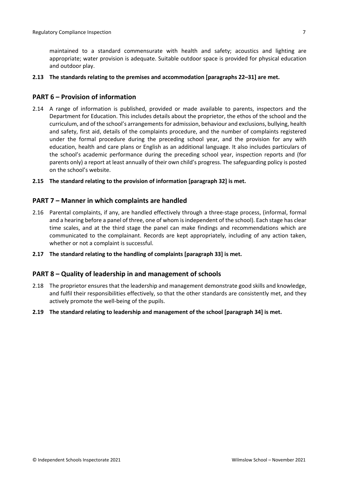maintained to a standard commensurate with health and safety; acoustics and lighting are appropriate; water provision is adequate. Suitable outdoor space is provided for physical education and outdoor play.

#### **2.13 The standards relating to the premises and accommodation [paragraphs 22–31] are met.**

### <span id="page-6-0"></span>**PART 6 – Provision of information**

2.14 A range of information is published, provided or made available to parents, inspectors and the Department for Education. This includes details about the proprietor, the ethos of the school and the curriculum, and of the school's arrangementsfor admission, behaviour and exclusions, bullying, health and safety, first aid, details of the complaints procedure, and the number of complaints registered under the formal procedure during the preceding school year, and the provision for any with education, health and care plans or English as an additional language. It also includes particulars of the school's academic performance during the preceding school year, inspection reports and (for parents only) a report at least annually of their own child's progress. The safeguarding policy is posted on the school's website.

#### **2.15 The standard relating to the provision of information [paragraph 32] is met.**

#### <span id="page-6-1"></span>**PART 7 – Manner in which complaints are handled**

- 2.16 Parental complaints, if any, are handled effectively through a three-stage process, (informal, formal and a hearing before a panel of three, one of whom is independent of the school). Each stage has clear time scales, and at the third stage the panel can make findings and recommendations which are communicated to the complainant. Records are kept appropriately, including of any action taken, whether or not a complaint is successful.
- **2.17 The standard relating to the handling of complaints [paragraph 33] is met.**

#### <span id="page-6-2"></span>**PART 8 – Quality of leadership in and management of schools**

- 2.18 The proprietor ensures that the leadership and management demonstrate good skills and knowledge, and fulfil their responsibilities effectively, so that the other standards are consistently met, and they actively promote the well-being of the pupils.
- **2.19 The standard relating to leadership and management of the school [paragraph 34] is met.**